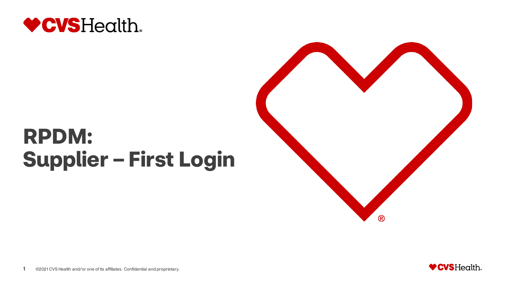

# **RPDM: Supplier – First Login**



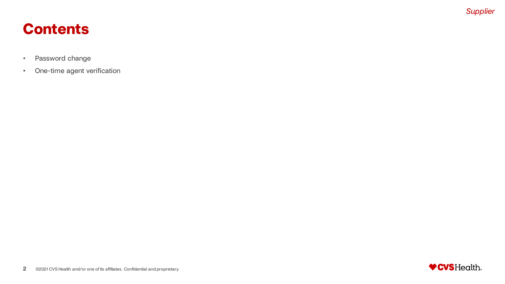### **Contents**

- Password change
- One-time agent verification

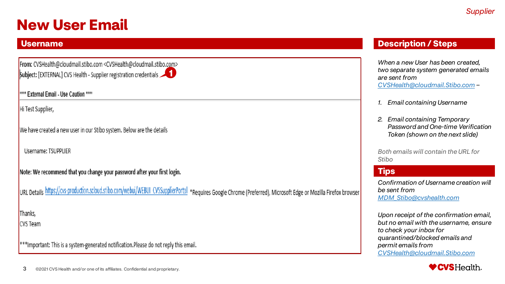### **New User Email**

#### **Username**

From: CVSHealth@cloudmail.stibo.com <CVSHealth@cloudmail.stibo.com> **5** Subject: [EXTERNAL] CVS Health - Supplier registration credentials

\*\*\*\* External Email - Use Caution \*\*\*\*

Hi Test Supplier,

We have created a new user in our Stibo system. Below are the details

Username: TSUPPLIER

Note: We recommend that you change your password after your first login.

URL Details https://cvs-production.scloud.stibo.com/webui/WEBUI CVSSupplierPortal \*Requires Google Chrome (Preferred), Microsoft Edge or Mozilla Firefox browser

Thanks, **CVS** Team

 $|***$ Important: This is a system-generated notification.Please do not reply this email.

#### **Description / Steps**

*When a new User has been created, two separate system generated emails are sent from [CVSHealth@cloudmail.Stibo.com](mailto:CVSHealth@cloudmail.Stibo.com) –*

- *1. Email containing Username*
- *2. Email containing Temporary Password and One-time Verification Token (shown on the next slide)*

*Both emails will contain the URL for Stibo*

#### **Tips**

*Confirmation of Username creation will be sent from [MDM\\_Stibo@cvshealth.com](mailto:MDM_Stibo@cvshealth.com)*

*Upon receipt of the confirmation email, but no email with the username, ensure to check your inbox for quarantined/blocked emails and permit emails from [CVSHealth@cloudmail.Stibo.com](mailto:CVSHealth@cloudmail.Stibo.com)*

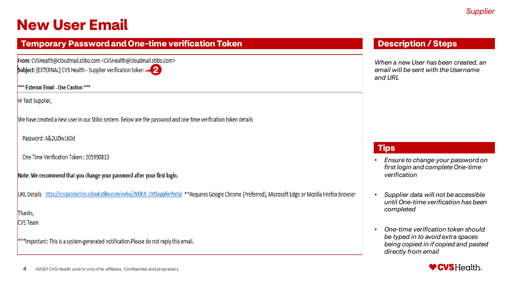### **New User Email**

| <b>Temporary Password and One-time verification Token</b>                                                                                                            |  |
|----------------------------------------------------------------------------------------------------------------------------------------------------------------------|--|
| From: CVSHealth@cloudmail.stibo.com <cvshealth@cloudmail.stibo.com><br/>Subject: [EXTERNAL] CVS Health - Supplier verification token</cvshealth@cloudmail.stibo.com> |  |
| **** External Email - Use Caution ****                                                                                                                               |  |
| Hi Test Supplier,                                                                                                                                                    |  |

We have created a new user in our Stibo system. Below are the password and one time verification token details

Password: A&2UZkv1kDd

One Time Verification Token: 205990813

Note: We recommend that you change your password after your first login.

URL Details https://cvs-production.scloud.stibo.com/webui/WEBUI CVSSupplierPortal \*\*Requires Google Chrome (Preferred), Microsoft Edge or Mozilla Firefox browser

Thanks,

**CVS** Team

\*\*\*Important: This is a system-generated notification.Please do not reply this email.

#### **Description / Steps**

*When a new User has been created, an email will be sent with the Username and URL*

- *Ensure to change your password on first login and complete One-time verification*
- *Supplier data will not be accessible until One-time verification has been completed*
- *One-time verification token should be typed in to avoid extra spaces being copied in if copied and pasted directly from email*

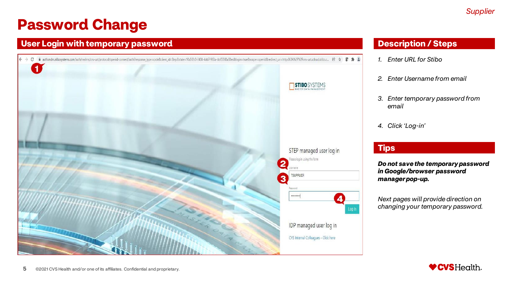#### **User Login with temporary password**



#### **Description / Steps**

- *1. Enter URL for Stibo*
- *2. Enter Username from email*
- *3. Enter temporary password from email*
- *4. Click 'Log-in'*

#### **Tips**

*Do not save the temporary password in Google/browser password manager pop-up.*

*Next pages will provide direction on changing your temporary password.*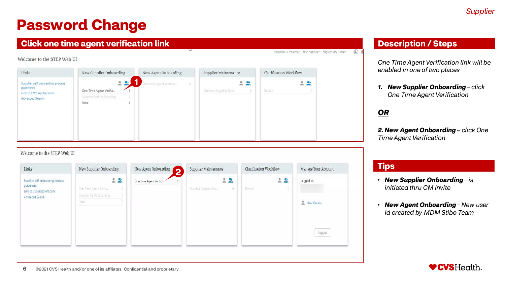#### **Click one time agent verification link**

#### Welcome to the STEP Web UI

| Links                                                                                        | New Supplier Onboarding                                     | New Agent Onboarding   | Supplier Maintenance        | Clarification Workflow      |
|----------------------------------------------------------------------------------------------|-------------------------------------------------------------|------------------------|-----------------------------|-----------------------------|
| Supplier self onboarding process<br>quidelines<br>Link to CVSSupplier.com<br>Advanced Search | One Time Agent Verific<br>Supplier Self OnBoarding<br>Total | Ine time Agent Venfica | 옰<br>Maintain Supplier Data | $\mathbf{r}$<br>오<br>Review |

#### Welcome to the STEP Web UI

| Links                                                                                         | New Supplier Onboarding                                                  | New Agent Onboarding<br>2 | Supplier Maintenance                | Clarification Workflow | Manage Your Account                  |
|-----------------------------------------------------------------------------------------------|--------------------------------------------------------------------------|---------------------------|-------------------------------------|------------------------|--------------------------------------|
| Supplier self onboarding process<br>guidelines<br>Link to CVSSuppliers.com<br>Advanced Search | $-2$<br>One Time Agent Ventic<br>90<br>Supplier Self OnBoarding<br>Total | One time Agent Verifica   | 20<br>Maintain Supplier Data<br>101 | $-20$<br>Review<br>O.  | Logged in:<br>User Details<br>Logout |

#### **Description / Steps**

*One Time Agent Verification link will be enabled in one of two places -*

*1. New Supplier Onboarding – click One Time Agent Verification*

#### *OR*

Supplier-17908912 · Test Supplier · English US · Main (

*2. New Agent Onboarding – click One Time Agent Verification*

- *New Supplier Onboarding – is initiated thru CM Invite*
- *New Agent Onboarding – New user Id created by MDM Stibo Team*

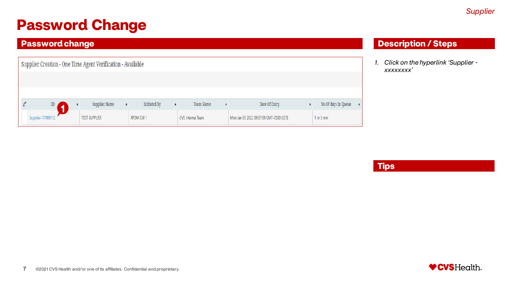#### **Password change**

| Supplier Creation - One Time Agent Verification - Available |                      |              |                   |                                         |                                  |  |  |
|-------------------------------------------------------------|----------------------|--------------|-------------------|-----------------------------------------|----------------------------------|--|--|
|                                                             |                      |              |                   |                                         |                                  |  |  |
|                                                             |                      |              |                   |                                         |                                  |  |  |
| $\mathbb{D}$                                                | Supplier Name        | Initiated By | Team Name         | Date Of Entry                           | No Of days In Queue              |  |  |
| Supplier-17908912                                           | <b>TEST SUPPLIER</b> | RPDM CM 1    | CVS Internal Team | Mon Jan 03 2022 09:57:09 GMT-0500 (EST) | 1 <sub>hr</sub> 3 <sub>min</sub> |  |  |

#### **Description / Steps**

*1. Click on the hyperlink 'Supplier xxxxxxxx'*

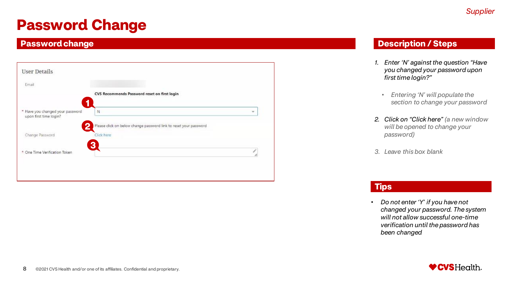#### **Password change**

| Email                                                      |                                                                   |   |
|------------------------------------------------------------|-------------------------------------------------------------------|---|
|                                                            | CVS Recommends Password reset on first login<br>1                 |   |
| * Have you changed your password<br>upon first time login? | N                                                                 | w |
|                                                            | Please click on below change password link to reset your password |   |
| Change Password                                            | Click here                                                        |   |
| * One Time Verification Token                              | 3                                                                 | ł |

#### **Description / Steps**

- *1. Enter 'N' against the question "Have you changed your password upon first time login?"*
	- *Entering 'N' will populate the section to change your password*
- *2. Click on "Click here" (a new window will be opened to change your password)*
- *3. Leave this box blank*

#### **Tips**

• *Do not enter 'Y' if you have not changed your password. The system will not allow successful one-time verification until the password has been changed*

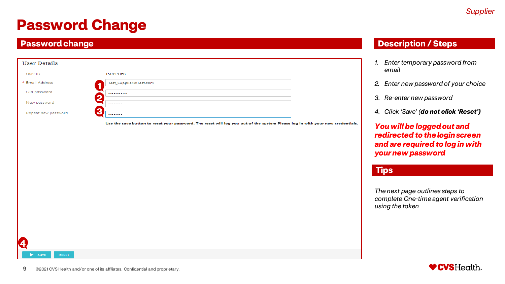#### **Password change**

| <b>User Details</b> |                        |
|---------------------|------------------------|
| User ID             | <b>TSUPPLIER</b>       |
| * Email Address     | Test_Supplier@Test.com |
| Old password        | <br>6                  |
| New password        |                        |
| Repeat new password | Æ<br>e<br>             |

Use the save button to reset your password. The reset will log you out of the system Please log in with your new credentials.

#### **Description / Steps**

- *1. Enter temporary password from email*
- *2. Enter new password of your choice*
- *3. Re-enter new password*
- *4. Click 'Save' (do not click 'Reset')*

*You will be logged out and redirected to the login screen and are required to log in with your new password*

#### **Tips**

*The next page outlines steps to complete One-time agent verification using the token*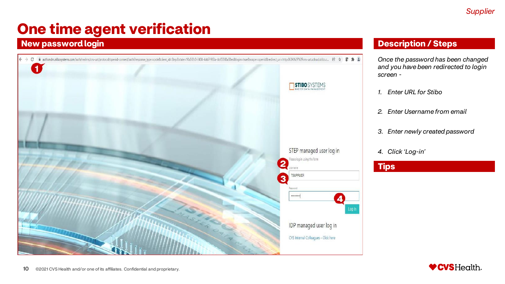#### **New password login**



#### **Description / Steps**

*Once the password has been changed and you have been redirected to login screen -*

- *1. Enter URL for Stibo*
- *2. Enter Username from email*
- *3. Enter newly created password*
- *4. Click 'Log-in'*

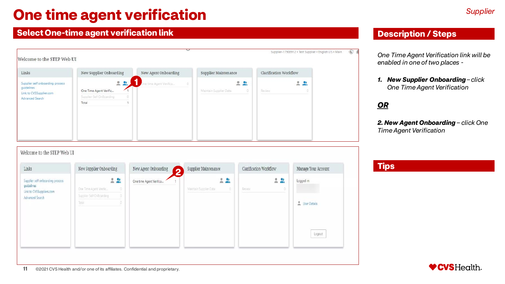#### **Select One-time agent verification link Description of the United Steps Description / Steps**

11 ©2021 CVS Health and/or one of its affiliates. Confidential and proprietary.

| Links                                                                                        | New Supplier Onboarding                                           | New Agent Onboarding        | Supplier Maintenance         | Clarification Workflow |
|----------------------------------------------------------------------------------------------|-------------------------------------------------------------------|-----------------------------|------------------------------|------------------------|
| Supplier self onboarding process<br>guidelines<br>Link to CVSSupplier.com<br>Advanced Search | 22<br>One Time Agent Verific<br>Supplier Self OnBoarding<br>Total | ne time Agent Venfica<br>ö. | 22<br>Maintain Supplier Data | 22<br>Review<br>ö      |

#### Welcome to the STEP Web UI

| Links                                                                                         | New Supplier Onboarding                                             | New Agent Onboarding<br>2 | Supplier Maintenance                 | Clarification Workflow | Manage Your Account        |
|-----------------------------------------------------------------------------------------------|---------------------------------------------------------------------|---------------------------|--------------------------------------|------------------------|----------------------------|
| Supplier self onboarding process<br>guidelines<br>Link to CVSSuppliers.com<br>Advanced Search | $-20$<br>One Time Agent Ventic<br>Supplier Self OnBoarding<br>Total | One time Agent Verifica   | $-2$<br>Maintain Supplier Data<br>o. | $-2$<br>Review         | Logged in:<br>User Details |
|                                                                                               |                                                                     |                           |                                      |                        | Logout                     |

*One Time Agent Verification link will be enabled in one of two places -*

*1. New Supplier Onboarding – click One Time Agent Verification*

#### *OR*

*2. New Agent Onboarding – click One Time Agent Verification*

♥CVSHealth.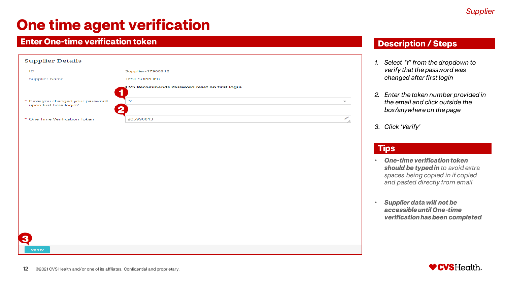#### **Enter One-time verification token**

| <b>Supplier Details</b>                                         |                                              |                          |
|-----------------------------------------------------------------|----------------------------------------------|--------------------------|
| ID                                                              | Supplier-17908912                            |                          |
| <b>Supplier Name</b>                                            | <b>TEST SUPPLIER</b>                         |                          |
| 1                                                               | CVS Recommends Password reset on first login |                          |
| * Have you changed your password<br>upon first time login?<br>っ | ×                                            | $\overline{\phantom{a}}$ |
| * One Time Verification Token                                   | 205990813                                    | ╱                        |
|                                                                 |                                              |                          |
|                                                                 |                                              |                          |
|                                                                 |                                              |                          |
|                                                                 |                                              |                          |
|                                                                 |                                              |                          |
|                                                                 |                                              |                          |

#### **Description / Steps**

- *1. Select 'Y' from the dropdown to verify that the password was changed after first login*
- *2. Enter the token number provided in the email and click outside the box/anywhere on the page*
- *3. Click 'Verify'*

#### **Tips**

- *One-time verification token should be typed in to avoid extra spaces being copied in if copied and pasted directly from email*
- *Supplier data will not be accessible until One-time verification has been completed*



3

Verify